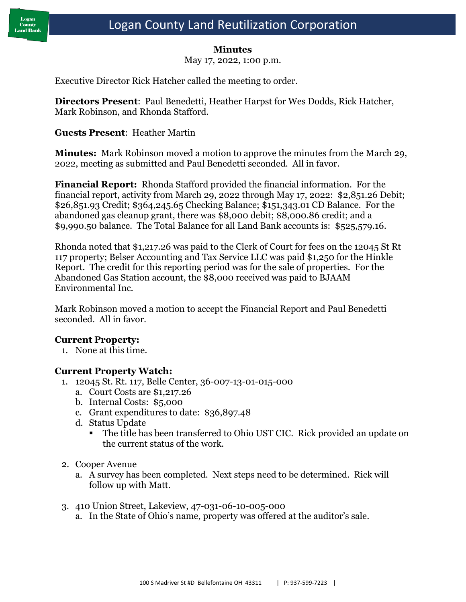

#### **Minutes**

May 17, 2022, 1:00 p.m.

Executive Director Rick Hatcher called the meeting to order.

**Directors Present**: Paul Benedetti, Heather Harpst for Wes Dodds, Rick Hatcher, Mark Robinson, and Rhonda Stafford.

### **Guests Present**: Heather Martin

**Minutes:** Mark Robinson moved a motion to approve the minutes from the March 29, 2022, meeting as submitted and Paul Benedetti seconded. All in favor.

**Financial Report:** Rhonda Stafford provided the financial information. For the financial report, activity from March 29, 2022 through May 17, 2022: \$2,851.26 Debit; \$26,851.93 Credit; \$364,245.65 Checking Balance; \$151,343.01 CD Balance. For the abandoned gas cleanup grant, there was \$8,000 debit; \$8,000.86 credit; and a \$9,990.50 balance. The Total Balance for all Land Bank accounts is: \$525,579.16.

Rhonda noted that \$1,217.26 was paid to the Clerk of Court for fees on the 12045 St Rt 117 property; Belser Accounting and Tax Service LLC was paid \$1,250 for the Hinkle Report. The credit for this reporting period was for the sale of properties. For the Abandoned Gas Station account, the \$8,000 received was paid to BJAAM Environmental Inc.

Mark Robinson moved a motion to accept the Financial Report and Paul Benedetti seconded. All in favor.

### **Current Property:**

1. None at this time.

### **Current Property Watch:**

- 1. 12045 St. Rt. 117, Belle Center, 36-007-13-01-015-000
	- a. Court Costs are \$1,217.26
	- b. Internal Costs: \$5,000
	- c. Grant expenditures to date: \$36,897.48
	- d. Status Update
		- The title has been transferred to Ohio UST CIC. Rick provided an update on the current status of the work.
- 2. Cooper Avenue
	- a. A survey has been completed. Next steps need to be determined. Rick will follow up with Matt.
- 3. 410 Union Street, Lakeview, 47-031-06-10-005-000
	- a. In the State of Ohio's name, property was offered at the auditor's sale.